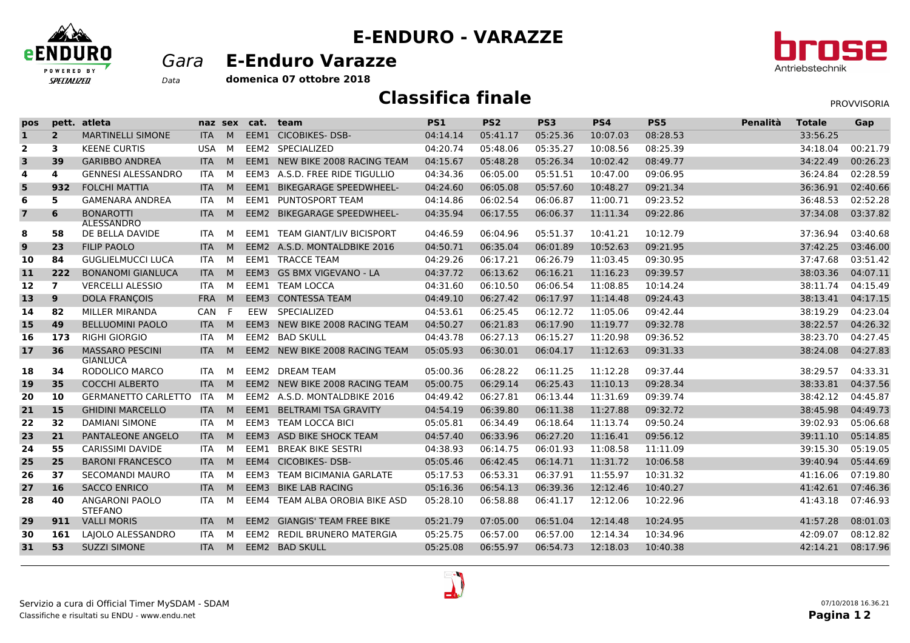

## **E-ENDURO - VARAZZE**

## *Gara* **E-Enduro Varazze**



**domenica 07 ottobre 2018***Data*

## **Classifica finale**

PROVVISORIA

| pos                            | pett. | atleta                                    |            | naz sex | cat. | team                                 | PS1      | PS <sub>2</sub> | PS3      | PS4      | PS5      | Penalità | <b>Totale</b> | Gap      |
|--------------------------------|-------|-------------------------------------------|------------|---------|------|--------------------------------------|----------|-----------------|----------|----------|----------|----------|---------------|----------|
| $\mathbf{1}$<br>$\overline{2}$ |       | MARTINELLI SIMONE                         | <b>ITA</b> | M       |      | EEM1 CICOBIKES-DSB-                  | 04:14.14 | 05:41.17        | 05:25.36 | 10:07.03 | 08:28.53 |          | 33:56.25      |          |
| $\overline{\mathbf{2}}$<br>3   |       | <b>KEENE CURTIS</b>                       | <b>USA</b> | M       |      | EEM2 SPECIALIZED                     | 04:20.74 | 05:48.06        | 05:35.27 | 10:08.56 | 08:25.39 |          | 34:18.04      | 00:21.79 |
| 3<br>39                        |       | <b>GARIBBO ANDREA</b>                     | <b>ITA</b> | M       |      | EEM1 NEW BIKE 2008 RACING TEAM       | 04:15.67 | 05:48.28        | 05:26.34 | 10:02.42 | 08:49.77 |          | 34:22.49      | 00:26.23 |
| 4<br>4                         |       | <b>GENNESI ALESSANDRO</b>                 | <b>ITA</b> | М       |      | EEM3 A.S.D. FREE RIDE TIGULLIO       | 04:34.36 | 06:05.00        | 05:51.51 | 10:47.00 | 09:06.95 |          | 36:24.84      | 02:28.59 |
| 5<br>932                       |       | <b>FOLCHI MATTIA</b>                      | <b>ITA</b> | M       | EEM1 | <b>BIKEGARAGE SPEEDWHEEL-</b>        | 04:24.60 | 06:05.08        | 05:57.60 | 10:48.27 | 09:21.34 |          | 36:36.91      | 02:40.66 |
| 6<br>5                         |       | <b>GAMENARA ANDREA</b>                    | <b>ITA</b> | M       | EEM1 | PUNTOSPORT TEAM                      | 04:14.86 | 06:02.54        | 06:06.87 | 11:00.71 | 09:23.52 |          | 36:48.53      | 02:52.28 |
| $\overline{7}$<br>6            |       | <b>BONAROTTI</b><br><b>ALESSANDRO</b>     | <b>ITA</b> | M       |      | EEM2 BIKEGARAGE SPEEDWHEEL-          | 04:35.94 | 06:17.55        | 06:06.37 | 11:11.34 | 09:22.86 |          | 37:34.08      | 03:37.82 |
| 8<br>58                        |       | DE BELLA DAVIDE                           | ITA.       | м       |      | <b>EEM1 TEAM GIANT/LIV BICISPORT</b> | 04:46.59 | 06:04.96        | 05:51.37 | 10:41.21 | 10:12.79 |          | 37:36.94      | 03:40.68 |
| 9<br>23                        |       | <b>FILIP PAOLO</b>                        | <b>ITA</b> | M       |      | EEM2 A.S.D. MONTALDBIKE 2016         | 04:50.71 | 06:35.04        | 06:01.89 | 10:52.63 | 09:21.95 |          | 37:42.25      | 03:46.00 |
| 10<br>84                       |       | <b>GUGLIELMUCCI LUCA</b>                  | <b>ITA</b> | M       |      | <b>EEM1 TRACCE TEAM</b>              | 04:29.26 | 06:17.21        | 06:26.79 | 11:03.45 | 09:30.95 |          | 37:47.68      | 03:51.42 |
| 222<br>11                      |       | <b>BONANOMI GIANLUCA</b>                  | <b>ITA</b> | M       |      | EEM3 GS BMX VIGEVANO - LA            | 04:37.72 | 06:13.62        | 06:16.21 | 11:16.23 | 09:39.57 |          | 38:03.36      | 04:07.11 |
| $\overline{7}$<br>12           |       | <b>VERCELLI ALESSIO</b>                   | <b>ITA</b> | M       |      | EEM1 TEAM LOCCA                      | 04:31.60 | 06:10.50        | 06:06.54 | 11:08.85 | 10:14.24 |          | 38:11.74      | 04:15.49 |
| 9<br>13                        |       | <b>DOLA FRANCOIS</b>                      | <b>FRA</b> | M       |      | EEM3 CONTESSA TEAM                   | 04:49.10 | 06:27.42        | 06:17.97 | 11:14.48 | 09:24.43 |          | 38:13.41      | 04:17.15 |
| 82<br>14                       |       | MILLER MIRANDA                            | CAN        | F       | EEW  | SPECIALIZED                          | 04:53.61 | 06:25.45        | 06:12.72 | 11:05.06 | 09:42.44 |          | 38:19.29      | 04:23.04 |
| 49<br><b>15</b>                |       | <b>BELLUOMINI PAOLO</b>                   | <b>ITA</b> | M       |      | EEM3 NEW BIKE 2008 RACING TEAM       | 04:50.27 | 06:21.83        | 06:17.90 | 11:19.77 | 09:32.78 |          | 38:22.57      | 04:26.32 |
| 16<br>173                      |       | <b>RIGHI GIORGIO</b>                      | <b>ITA</b> | M       |      | EEM2 BAD SKULL                       | 04:43.78 | 06:27.13        | 06:15.27 | 11:20.98 | 09:36.52 |          | 38:23.70      | 04:27.45 |
| 36<br>17                       |       | <b>MASSARO PESCINI</b><br><b>GIANLUCA</b> | <b>ITA</b> | M       |      | EEM2 NEW BIKE 2008 RACING TEAM       | 05:05.93 | 06:30.01        | 06:04.17 | 11:12.63 | 09:31.33 |          | 38:24.08      | 04:27.83 |
| 34<br>18                       |       | RODOLICO MARCO                            | ITA        | M       |      | EEM2 DREAM TEAM                      | 05:00.36 | 06:28.22        | 06:11.25 | 11:12.28 | 09:37.44 |          | 38:29.57      | 04:33.31 |
| 35<br>19                       |       | <b>COCCHI ALBERTO</b>                     | <b>ITA</b> | M       |      | EEM2 NEW BIKE 2008 RACING TEAM       | 05:00.75 | 06:29.14        | 06:25.43 | 11:10.13 | 09:28.34 |          | 38:33.81      | 04:37.56 |
| 20<br>10                       |       | GERMANETTO CARLETTO ITA                   |            | M       |      | EEM2 A.S.D. MONTALDBIKE 2016         | 04:49.42 | 06:27.81        | 06:13.44 | 11:31.69 | 09:39.74 |          | 38:42.12      | 04:45.87 |
| 15<br>21                       |       | <b>GHIDINI MARCELLO</b>                   | <b>ITA</b> | M       | EEM1 | <b>BELTRAMI TSA GRAVITY</b>          | 04:54.19 | 06:39.80        | 06:11.38 | 11:27.88 | 09:32.72 |          | 38:45.98      | 04:49.73 |
| 32<br>22                       |       | <b>DAMIANI SIMONE</b>                     | <b>ITA</b> | M       |      | EEM3 TEAM LOCCA BICI                 | 05:05.81 | 06:34.49        | 06:18.64 | 11:13.74 | 09:50.24 |          | 39:02.93      | 05:06.68 |
| 21<br>23                       |       | PANTALEONE ANGELO                         | <b>ITA</b> | M       |      | EEM3 ASD BIKE SHOCK TEAM             | 04:57.40 | 06:33.96        | 06:27.20 | 11:16.41 | 09:56.12 |          | 39:11.10      | 05:14.85 |
| 24<br>55                       |       | <b>CARISSIMI DAVIDE</b>                   | <b>ITA</b> | M       | EEM1 | <b>BREAK BIKE SESTRI</b>             | 04:38.93 | 06:14.75        | 06:01.93 | 11:08.58 | 11:11.09 |          | 39:15.30      | 05:19.05 |
| 25<br>25                       |       | <b>BARONI FRANCESCO</b>                   | <b>ITA</b> | M       |      | EEM4 CICOBIKES-DSB-                  | 05:05.46 | 06:42.45        | 06:14.71 | 11:31.72 | 10:06.58 |          | 39:40.94      | 05:44.69 |
| 37<br>26                       |       | <b>SECOMANDI MAURO</b>                    | <b>ITA</b> | м       | EEM3 | <b>TEAM BICIMANIA GARLATE</b>        | 05:17.53 | 06:53.31        | 06:37.91 | 11:55.97 | 10:31.32 |          | 41:16.06      | 07:19.80 |
| <b>16</b><br>27                |       | <b>SACCO ENRICO</b>                       | <b>ITA</b> | M       | EEM3 | <b>BIKE LAB RACING</b>               | 05:16.36 | 06:54.13        | 06:39.36 | 12:12.46 | 10:40.27 |          | 41:42.61      | 07:46.36 |
| 40<br>28                       |       | <b>ANGARONI PAOLO</b><br><b>STEFANO</b>   | <b>ITA</b> | м       |      | EEM4 TEAM ALBA OROBIA BIKE ASD       | 05:28.10 | 06:58.88        | 06:41.17 | 12:12.06 | 10:22.96 |          | 41:43.18      | 07:46.93 |
| 911<br>29                      |       | <b>VALLI MORIS</b>                        | <b>ITA</b> | M       |      | EEM2 GIANGIS' TEAM FREE BIKE         | 05:21.79 | 07:05.00        | 06:51.04 | 12:14.48 | 10:24.95 |          | 41:57.28      | 08:01.03 |
| 161<br>30                      |       | LAJOLO ALESSANDRO                         | <b>ITA</b> | М       |      | EEM2 REDIL BRUNERO MATERGIA          | 05:25.75 | 06:57.00        | 06:57.00 | 12:14.34 | 10:34.96 |          | 42:09.07      | 08:12.82 |
| 53<br>31                       |       | <b>SUZZI SIMONE</b>                       | <b>ITA</b> | M       |      | EEM2 BAD SKULL                       | 05:25.08 | 06:55.97        | 06:54.73 | 12:18.03 | 10:40.38 |          | 42:14.21      | 08:17.96 |